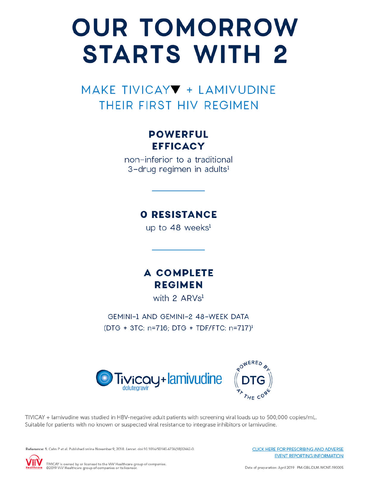# **OUR TOMORROW STARTS WITH 2**

MAKE TIVICAY + LAMIVUDINE THEIR FIRST HIV REGIMEN

# **POWERFUL EFFICACY**

non-inferior to a traditional 3-drug regimen in adults<sup>1</sup>

# **O RESISTANCE**

up to 48 weeks<sup>1</sup>

**A COMPLETE REGIMEN** 

with 2 ARVs<sup>1</sup>

GEMINI-1 AND GEMINI-2 48-WEEK DATA (DTG + 3TC: n=716; DTG + TDF/FTC: n=717)<sup>1</sup>



TIVICAY + lamivudine was studied in HBV-negative adult patients with screening viral loads up to 500,000 copies/mL. Suitable for patients with no known or suspected viral resistance to integrase inhibitors or lamivudine.

Reference: 1. Cahn P et al. Published online November 9, 2018. Lancet, doi:10.1016/50140-6736(18)32462-0.

**CLICK HERE FOR PRESCRIBING AND ADVERSE EVENT REPORTING INFORMATION** 

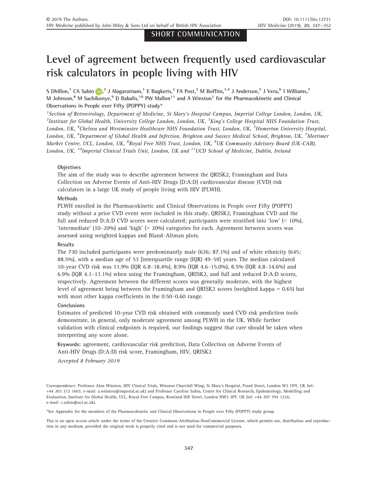# Level of agreement between frequently used cardiovascular risk calculators in people living with HIV

S Dhillo[n](https://orcid.org/0000-0001-5173-2760),<sup>1</sup> CA Sabin <mark>iD</mark>,<sup>2</sup> J Alagaratnam,<sup>1</sup> E Bagkeris,<sup>2</sup> FA Post,<sup>3</sup> M Boffito,<sup>1,4</sup> J Anderson,<sup>5</sup> J Vera,<sup>6</sup> 1 Williams,<sup>7</sup> M Johnson,<sup>8</sup> M Sachikonye,<sup>9</sup> D Babalis,<sup>10</sup> PW Mallon<sup>11</sup> and A Winston<sup>1</sup> for the Pharmacokinetic and Clinical Observations in People over Fifty (POPPY) study\*

<sup>1</sup> Section of Retrovirology, Department of Medicine, St Mary's Hospital Campus, Imperial College London, London, UK,  $^2$ Institute for Global Health, University College London, London, UK,  $^3$ King's College Hospital NHS Foundation Trust, London, UK, <sup>4</sup>Chelsea and Westminster Healthcare NHS Foundation Trust, London, UK, <sup>5</sup>Homerton University Hospital, London, UK, <sup>6</sup>Department of Global Health and Infection, Brighton and Sussex Medical School, Brighton, UK, <sup>7</sup>Mortimer Market Centre, UCL, London, UK, <sup>8</sup>Royal Free NHS Trust, London, UK, <sup>9</sup>UK Community Advisory Board (UK-CAB), London, UK,  $^{10}$ Imperial Clinical Trials Unit, London, UK and  $^{11}$ UCD School of Medicine, Dublin, Ireland

# **Objectives**

The aim of the study was to describe agreement between the QRISK2, Framingham and Data Collection on Adverse Events of Anti-HIV Drugs (D:A:D) cardiovascular disease (CVD) risk calculators in a large UK study of people living with HIV (PLWH).

#### Methods

PLWH enrolled in the Pharmacokinetic and Clinical Observations in People over Fifty (POPPY) study without a prior CVD event were included in this study. QRISK2, Framingham CVD and the full and reduced D:A:D CVD scores were calculated; participants were stratified into 'low' (< 10%), 'intermediate' (10–20%) and 'high' (> 20%) categories for each. Agreement between scores was assessed using weighted kappas and Bland–Altman plots.

#### Results

The 730 included participants were predominantly male (636; 87.1%) and of white ethnicity (645; 88.5%), with a median age of 53 [interquartile range (IQR) 49–59] years. The median calculated 10-year CVD risk was 11.9% (IQR 6.8–18.4%), 8.9% (IQR 4.6–15.0%), 8.5% (IQR 4.8–14.6%) and 6.9% (IQR 4.1–11.1%) when using the Framingham, QRISK2, and full and reduced D:A:D scores, respectively. Agreement between the different scores was generally moderate, with the highest level of agreement being between the Framingham and QRISK2 scores (weighted kappa = 0.65) but with most other kappa coefficients in the 0.50–0.60 range.

#### **Conclusions**

Estimates of predicted 10-year CVD risk obtained with commonly used CVD risk prediction tools demonstrate, in general, only moderate agreement among PLWH in the UK. While further validation with clinical endpoints is required, our findings suggest that care should be taken when interpreting any score alone.

Keywords: agreement, cardiovascular risk prediction, Data Collection on Adverse Events of Anti-HIV Drugs (D:A:D) risk score, Framingham, HIV, QRISK2

Accepted 8 February 2019

Correspondence: Professor Alan Winston, HIV Clinical Trials, Winston Churchill Wing, St Mary's Hospital, Praed Street, London W2 1NY, UK (tel: +44 203 312 1603; e-mail: [a.winston@imperial.ac.uk\)](mailto:) and Professor Caroline Sabin, Centre for Clinical Research, Epidemiology, Modelling and Evaluation, Institute for Global Health, UCL, Royal Free Campus, Rowland Hill Street, London NW3 2PF, UK (tel: +44 207 794 1224; e-mail: [c.sabin@ucl.ac.uk\)](mailto:).

\*See Appendix for the members of the Pharmacokinetic and Clinical Observations in People over Fifty (POPPY) study group.

This is an open access article under the terms of the [Creative Commons Attribution-NonCommercial](http://creativecommons.org/licenses/by-nc/4.0/) License, which permits use, distribution and reproduction in any medium, provided the original work is properly cited and is not used for commercial purposes.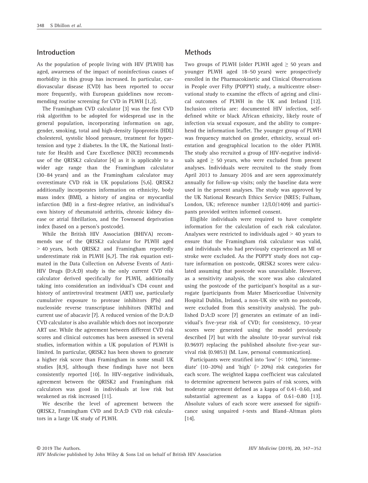# Introduction

As the population of people living with HIV (PLWH) has aged, awareness of the impact of noninfectious causes of morbidity in this group has increased. In particular, cardiovascular disease (CVD) has been reported to occur more frequently, with European guidelines now recommending routine screening for CVD in PLWH [1,2].

The Framingham CVD calculator [3] was the first CVD risk algorithm to be adopted for widespread use in the general population, incorporating information on age, gender, smoking, total and high-density lipoprotein (HDL) cholesterol, systolic blood pressure, treatment for hypertension and type 2 diabetes. In the UK, the National Institute for Health and Care Excellence (NICE) recommends use of the QRISK2 calculator [4] as it is applicable to a wider age range than the Framingham calculator (30–84 years) and as the Framingham calculator may overestimate CVD risk in UK populations [5,6]. QRISK2 additionally incorporates information on ethnicity, body mass index (BMI), a history of angina or myocardial infarction (MI) in a first-degree relative, an individual's own history of rheumatoid arthritis, chronic kidney disease or atrial fibrillation, and the Townsend deprivation index (based on a person's postcode).

While the British HIV Association (BHIVA) recommends use of the QRISK2 calculator for PLWH aged > 40 years, both QRISK2 and Framingham reportedly underestimate risk in PLWH [6,7]. The risk equation estimated in the Data Collection on Adverse Events of Anti-HIV Drugs (D:A:D) study is the only current CVD risk calculator derived specifically for PLWH, additionally taking into consideration an individual's CD4 count and history of antiretroviral treatment (ART) use, particularly cumulative exposure to protease inhibitors (PIs) and nucleoside reverse transcriptase inhibitors (NRTIs) and current use of abacavir [7]. A reduced version of the D:A:D CVD calculator is also available which does not incorporate ART use. While the agreement between different CVD risk scores and clinical outcomes has been assessed in several studies, information within a UK population of PLWH is limited. In particular, QRISK2 has been shown to generate a higher risk score than Framingham in some small UK studies [8,9], although these findings have not been consistently reported [10]. In HIV-negative individuals, agreement between the QRISK2 and Framingham risk calculators was good in individuals at low risk but weakened as risk increased [11].

We describe the level of agreement between the QRISK2, Framingham CVD and D:A:D CVD risk calculators in a large UK study of PLWH.

# Methods

Two groups of PLWH (older PLWH aged  $\geq$  50 years and younger PLWH aged 18–50 years) were prospectively enrolled in the Pharmacokinetic and Clinical Observations in People over Fifty (POPPY) study, a multicentre observational study to examine the effects of ageing and clinical outcomes of PLWH in the UK and Ireland [12]. Inclusion criteria are: documented HIV infection, selfdefined white or black African ethnicity, likely route of infection via sexual exposure, and the ability to comprehend the information leaflet. The younger group of PLWH was frequency matched on gender, ethnicity, sexual orientation and geographical location to the older PLWH. The study also recruited a group of HIV-negative individuals aged  $\geq$  50 years, who were excluded from present analyses. Individuals were recruited to the study from April 2013 to January 2016 and are seen approximately annually for follow-up visits; only the baseline data were used in the present analyses. The study was approved by the UK National Research Ethics Service (NRES; Fulham, London, UK; reference number 12/LO/1409) and participants provided written informed consent.

Eligible individuals were required to have complete information for the calculation of each risk calculator. Analyses were restricted to individuals aged > 40 years to ensure that the Framingham risk calculator was valid, and individuals who had previously experienced an MI or stroke were excluded. As the POPPY study does not capture information on postcode, QRISK2 scores were calculated assuming that postcode was unavailable. However, as a sensitivity analysis, the score was also calculated using the postcode of the participant's hospital as a surrogate (participants from Mater Misericordiae University Hospital Dublin, Ireland, a non-UK site with no postcode, were excluded from this sensitivity analysis). The published D:A:D score [7] generates an estimate of an individual's five-year risk of CVD; for consistency, 10-year scores were generated using the model previously described [7] but with the absolute 10-year survival risk (0.9697) replacing the published absolute five-year survival risk (0.9853) (M. Law, personal communication).

Participants were stratified into 'low' (< 10%), 'intermediate'  $(10-20\%)$  and 'high'  $(> 20\%)$  risk categories for each score. The weighted kappa coefficient was calculated to determine agreement between pairs of risk scores, with moderate agreement defined as a kappa of 0.41–0.60, and substantial agreement as a kappa of 0.61–0.80 [13]. Absolute values of each score were assessed for significance using unpaired t-tests and Bland–Altman plots [14].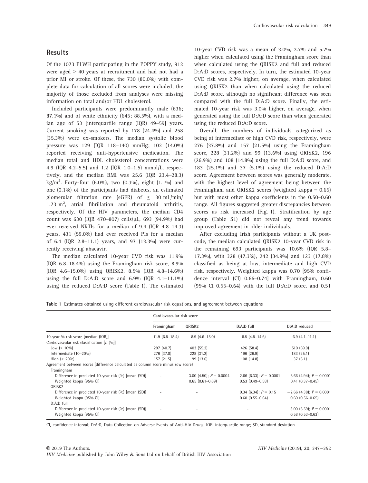Of the 1073 PLWH participating in the POPPY study, 912 were aged > 40 years at recruitment and had not had a prior MI or stroke. Of these, the 730 (80.0%) with complete data for calculation of all scores were included; the majority of those excluded from analyses were missing information on total and/or HDL cholesterol.

Included participants were predominantly male (636; 87.1%) and of white ethnicity (645; 88.5%), with a median age of 53 [interquartile range (IQR) 49–59] years. Current smoking was reported by 178 (24.4%) and 258 (35.3%) were ex-smokers. The median systolic blood pressure was 129 (IQR 118–140) mmHg; 102 (14.0%) reported receiving anti-hypertensive medication. The median total and HDL cholesterol concentrations were 4.9 (IQR 4.2–5.5) and 1.2 (IQR 1.0–1.5) mmol/L, respectively, and the median BMI was 25.6 (IQR 23.4–28.3) kg/m<sup>2</sup>. Forty-four (6.0%), two (0.3%), eight (1.1%) and one (0.1%) of the participants had diabetes, an estimated glomerular filtration rate (eGFR) of  $\leq$  30 mL/min/ 1.73  $m^2$ , atrial fibrillation and rheumatoid arthritis, respectively. Of the HIV parameters, the median CD4 count was 630 (IQR 470-807) cells/µL, 693 (94.9%) had ever received NRTIs for a median of 9.4 (IQR 4.8–14.3) years, 431 (59.0%) had ever received PIs for a median of 6.4 (IQR 2.8–11.1) years, and 97 (13.3%) were currently receiving abacavir.

The median calculated 10-year CVD risk was 11.9% (IQR 6.8–18.4%) using the Framingham risk score, 8.9% (IQR 4.6–15.0%) using QRISK2, 8.5% (IQR 4.8–14.6%) using the full D:A:D score and  $6.9\%$  (IQR  $4.1-11.1\%$ ) using the reduced D:A:D score (Table 1). The estimated

10-year CVD risk was a mean of 3.0%, 2.7% and 5.7% higher when calculated using the Framingham score than when calculated using the QRISK2 and full and reduced D:A:D scores, respectively. In turn, the estimated 10-year CVD risk was 2.7% higher, on average, when calculated using QRISK2 than when calculated using the reduced D:A:D score, although no significant difference was seen compared with the full D:A:D score. Finally, the estimated 10-year risk was 3.0% higher, on average, when generated using the full D:A:D score than when generated using the reduced D:A:D score.

Overall, the numbers of individuals categorized as being at intermediate or high CVD risk, respectively, were 276 (37.8%) and 157 (21.5%) using the Framingham score, 228 (31.2%) and 99 (13.6%) using QRISK2, 196 (26.9%) and 108 (14.8%) using the full D:A:D score, and 183 (25.1%) and 37 (5.1%) using the reduced D:A:D score. Agreement between scores was generally moderate, with the highest level of agreement being between the Framingham and QRISK2 scores (weighted kappa  $= 0.65$ ) but with most other kappa coefficients in the 0.50–0.60 range. All figures suggested greater discrepancies between scores as risk increased (Fig. 1). Stratification by age group (Table S1) did not reveal any trend towards improved agreement in older individuals.

After excluding Irish participants without a UK postcode, the median calculated QRISK2 10-year CVD risk in the remaining 693 participants was 10.6% (IQR 5.8– 17.3%), with 328 (47.3%), 242 (34.9%) and 123 (17.8%) classified as being at low, intermediate and high CVD risk, respectively. Weighted kappa was 0.70 [95% confidence interval (CI) 0.66–0.74] with Framingham, 0.60 (95% CI 0.55–0.64) with the full D:A:D score, and 0.51

Table 1 Estimates obtained using different cardiovascular risk equations, and agreement between equations

|                                                                                                | Cardiovascular risk score |                                                     |                                                        |                                                        |
|------------------------------------------------------------------------------------------------|---------------------------|-----------------------------------------------------|--------------------------------------------------------|--------------------------------------------------------|
|                                                                                                | Framingham                | QRISK <sub>2</sub>                                  | D:A:D full                                             | D:A:D reduced                                          |
| 10-year % risk score [median (IQR)]                                                            | $11.9(6.8-18.4)$          | $8.9(4.6-15.0)$                                     | $8.5(4.8-14.6)$                                        | $6.9(4.1-11.1)$                                        |
| Cardiovascular risk classification $[n (96)]$                                                  |                           |                                                     |                                                        |                                                        |
| Low ( $\leq 10\%$ )                                                                            | 297 (40.7)                | 403(55.2)                                           | 426 (58.4)                                             | 510(69.9)                                              |
| Intermediate (10-20%)                                                                          | 276 (37.8)                | 228 (31.2)                                          | 196 (26.9)                                             | 183 (25.1)                                             |
| High $(> 20\%)$                                                                                | 157(21.5)                 | 99 (13.6)                                           | 108(14.8)                                              | 37(5.1)                                                |
| Agreement between scores (difference calculated as column score minus row score)<br>Framingham |                           |                                                     |                                                        |                                                        |
| Difference in predicted 10-year risk (%) [mean (SD)]<br>Weighted kappa (95% CI)                |                           | $-3.00$ (4.50); $P = 0.0004$<br>$0.65(0.61 - 0.69)$ | $-2.66$ (6.33); $P = 0.0001$<br>$0.53$ $(0.49 - 0.58)$ | $-5.66$ (4.94); $P = 0.0001$<br>$0.41$ $(0.37 - 0.45)$ |
| ORISK <sub>2</sub>                                                                             |                           |                                                     |                                                        |                                                        |
| Difference in predicted 10-year risk (%) [mean (SD)]<br>Weighted kappa (95% CI)                | $\overline{\phantom{a}}$  |                                                     | 0.34 (6.34); $P = 0.15$<br>$0.60$ $(0.55 - 0.64)$      | $-2.66$ (4.38); $P = 0.0001$<br>$0.60$ $(0.56 - 0.65)$ |
| $D:A:D$ full                                                                                   |                           |                                                     |                                                        |                                                        |
| Difference in predicted 10-year risk (%) [mean (SD)]<br>Weighted kappa (95% CI)                |                           |                                                     |                                                        | $-3.00$ (5.59); $P = 0.0001$<br>$0.58$ $(0.53 - 0.63)$ |

CI, confidence interval; D:A:D, Data Collection on Adverse Events of Anti-HIV Drugs; IQR, interquartile range; SD, standard deviation.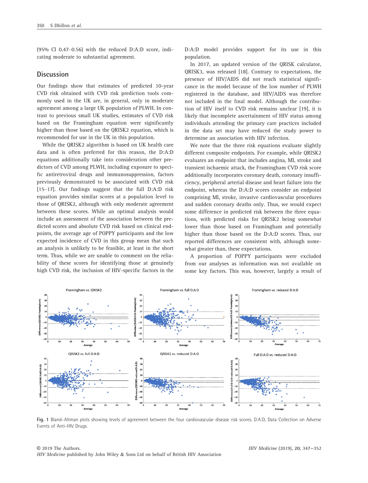(95% CI 0.47–0.56) with the reduced D:A:D score, indicating moderate to substantial agreement.

### **Discussion**

Our findings show that estimates of predicted 10-year CVD risk obtained with CVD risk prediction tools commonly used in the UK are, in general, only in moderate agreement among a large UK population of PLWH. In contrast to previous small UK studies, estimates of CVD risk based on the Framingham equation were significantly higher than those based on the QRISK2 equation, which is recommended for use in the UK in this population.

While the QRISK2 algorithm is based on UK health care data and is often preferred for this reason, the D:A:D equations additionally take into consideration other predictors of CVD among PLWH, including exposure to specific antiretroviral drugs and immunosuppression, factors previously demonstrated to be associated with CVD risk [15–17]. Our findings suggest that the full D:A:D risk equation provides similar scores at a population level to those of QRISK2, although with only moderate agreement between these scores. While an optimal analysis would include an assessment of the association between the predicted scores and absolute CVD risk based on clinical endpoints, the average age of POPPY participants and the low expected incidence of CVD in this group mean that such an analysis is unlikely to be feasible, at least in the short term. Thus, while we are unable to comment on the reliability of these scores for identifying those at genuinely high CVD risk, the inclusion of HIV-specific factors in the D:A:D model provides support for its use in this population.

In 2017, an updated version of the QRISK calculator, QRISK3, was released [18]. Contrary to expectations, the presence of HIV/AIDS did not reach statistical significance in the model because of the low number of PLWH registered in the database, and HIV/AIDS was therefore not included in the final model. Although the contribution of HIV itself to CVD risk remains unclear [19], it is likely that incomplete ascertainment of HIV status among individuals attending the primary care practices included in the data set may have reduced the study power to determine an association with HIV infection.

We note that the three risk equations evaluate slightly different composite endpoints. For example, while ORISK2 evaluates an endpoint that includes angina, MI, stroke and transient ischaemic attack, the Framingham CVD risk score additionally incorporates coronary death, coronary insufficiency, peripheral arterial disease and heart failure into the endpoint, whereas the D:A:D scores consider an endpoint comprising MI, stroke, invasive cardiovascular procedures and sudden coronary deaths only. Thus, we would expect some difference in predicted risk between the three equations, with predicted risks for QRISK2 being somewhat lower than those based on Framingham and potentially higher than those based on the D:A:D scores. Thus, our reported differences are consistent with, although somewhat greater than, these expectations.

A proportion of POPPY participants were excluded from our analyses as information was not available on some key factors. This was, however, largely a result of



Fig. 1 Bland–Altman plots showing levels of agreement between the four cardiovascular disease risk scores. D:A:D, Data Collection on Adverse Events of Anti-HIV Drugs.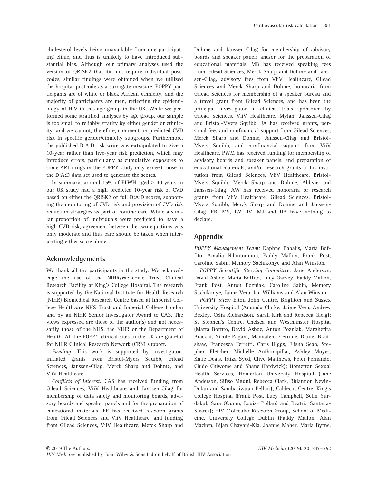cholesterol levels being unavailable from one participating clinic, and thus is unlikely to have introduced substantial bias. Although our primary analyses used the version of QRISK2 that did not require individual postcodes, similar findings were obtained when we utilized the hospital postcode as a surrogate measure. POPPY participants are of white or black African ethnicity, and the majority of participants are men, reflecting the epidemiology of HIV in this age group in the UK. While we performed some stratified analyses by age group, our sample is too small to reliably stratify by either gender or ethnicity, and we cannot, therefore, comment on predicted CVD risk in specific gender/ethnicity subgroups. Furthermore, the published D:A:D risk score was extrapolated to give a 10-year rather than five-year risk prediction, which may introduce errors, particularly as cumulative exposures to some ART drugs in the POPPY study may exceed those in the D:A:D data set used to generate the scores.

In summary, around 15% of PLWH aged  $> 40$  years in our UK study had a high predicted 10-year risk of CVD based on either the QRISK2 or full D:A:D scores, supporting the monitoring of CVD risk and provision of CVD risk reduction strategies as part of routine care. While a similar proportion of individuals were predicted to have a high CVD risk, agreement between the two equations was only moderate and thus care should be taken when interpreting either score alone.

# Acknowledgements

We thank all the participants in the study. We acknowledge the use of the NIHR/Wellcome Trust Clinical Research Facility at King's College Hospital. The research is supported by the National Institute for Health Research (NIHR) Biomedical Research Centre based at Imperial College Healthcare NHS Trust and Imperial College London and by an NIHR Senior Investigator Award to CAS. The views expressed are those of the author(s) and not necessarily those of the NHS, the NIHR or the Department of Health. All the POPPY clinical sites in the UK are grateful for NIHR Clinical Research Network (CRN) support.

Funding: This work is supported by investigatorinitiated grants from Bristol-Myers Squibb, Gilead Sciences, Janssen-Cilag, Merck Sharp and Dohme, and ViiV Healthcare.

Conflicts of interest: CAS has received funding from Gilead Sciences, ViiV Healthcare and Janssen-Cilag for membership of data safety and monitoring boards, advisory boards and speaker panels and for the preparation of educational materials. FP has received research grants from Gilead Sciences and ViiV Healthcare, and funding from Gilead Sciences, ViiV Healthcare, Merck Sharp and

Dohme and Janssen-Cilag for membership of advisory boards and speaker panels and/or for the preparation of educational materials. MB has received speaking fees from Gilead Sciences, Merck Sharp and Dohme and Janssen-Cilag, advisory fees from ViiV Healthcare, Gilead Sciences and Merck Sharp and Dohme, honoraria from Gilead Sciences for membership of a speaker bureau and a travel grant from Gilead Sciences, and has been the principal investigator in clinical trials sponsored by Gilead Sciences, ViiV Healthcare, Mylan, Janssen-Cilag and Bristol-Myers Squibb. JA has received grants, personal fees and nonfinancial support from Gilead Sciences, Merck Sharp and Dohme, Janssen-Cilag and Bristol-Myers Squibb, and nonfinancial support from ViiV Healthcare. PWM has received funding for membership of advisory boards and speaker panels, and preparation of educational materials, and/or research grants to his institution from Gilead Sciences, ViiV Healthcare, Bristol-Myers Squibb, Merck Sharp and Dohme, Abbvie and Janssen-Cilag. AW has received honoraria or research grants from ViiV Healthcare, Gilead Sciences, Bristol-Myers Squibb, Merck Sharp and Dohme and Janssen-Cilag. EB, MS, IW, JV, MJ and DB have nothing to declare.

# Appendix

POPPY Management Team: Daphne Babalis, Marta Boffito, Amalia Ndoutoumou, Paddy Mallon, Frank Post, Caroline Sabin, Memory Sachikonye and Alan Winston.

POPPY Scientific Steering Committee: Jane Anderson, David Asboe, Marta Boffito, Lucy Garvey, Paddy Mallon, Frank Post, Anton Pozniak, Caroline Sabin, Memory Sachikonye, Jaime Vera, Ian Williams and Alan Winston.

POPPY sites: Elton John Centre, Brighton and Sussex University Hospital (Amanda Clarke, Jaime Vera, Andrew Bexley, Celia Richardson, Sarah Kirk and Rebecca Gleig); St Stephen's Centre, Chelsea and Westminster Hospital (Marta Boffito, David Asboe, Anton Pozniak, Margherita Bracchi, Nicole Pagani, Maddalena Cerrone, Daniel Bradshaw, Francesca Ferretti, Chris Higgs, Elisha Seah, Stephen Fletcher, Michelle Anthonipillai, Ashley Moyes, Katie Deats, Irtiza Syed, Clive Matthews, Peter Fernando, Chido Chiwome and Shane Hardwick); Homerton Sexual Health Services, Homerton University Hospital (Jane Anderson, Sifiso Mguni, Rebecca Clark, Rhiannon Nevin-Dolan and Sambasivarao Pelluri); Caldecot Centre, King's College Hospital (Frank Post, Lucy Campbell, Selin Yurdakul, Sara Okumu, Louise Pollard and Beatriz Santana-Suarez); HIV Molecular Research Group, School of Medicine, University College Dublin (Paddy Mallon, Alan Macken, Bijan Ghavani-Kia, Joanne Maher, Maria Byrne,